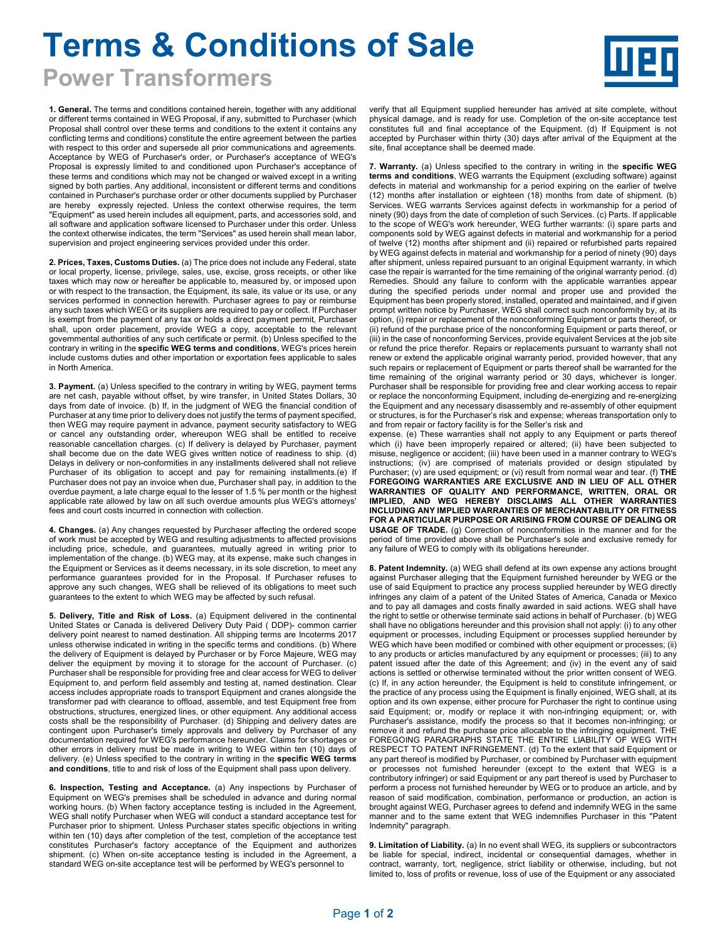## **Terms & Conditions of Sale**

**Power Transformers** 

**1. General.** The terms and conditions contained herein, together with any additional or different terms contained in WEG Proposal, if any, submitted to Purchaser (which Proposal shall control over these terms and conditions to the extent it contains any conflicting terms and conditions) constitute the entire agreement between the parties with respect to this order and supersede all prior communications and agreements. Acceptance by WEG of Purchaser's order, or Purchaser's acceptance of WEG's Proposal is expressly limited to and conditioned upon Purchaser's acceptance of these terms and conditions which may not be changed or waived except in a writing signed by both parties. Any additional, inconsistent or different terms and conditions contained in Purchaser's purchase order or other documents supplied by Purchaser are hereby expressly rejected. Unless the context otherwise requires, the term "Equipment" as used herein includes all equipment, parts, and accessories sold, and all software and application software licensed to Purchaser under this order. Unless the context otherwise indicates, the term "Services" as used herein shall mean labor, supervision and project engineering services provided under this order.

**2. Prices, Taxes, Customs Duties.** (a) The price does not include any Federal, state or local property, license, privilege, sales, use, excise, gross receipts, or other like taxes which may now or hereafter be applicable to, measured by, or imposed upon or with respect to the transaction, the Equipment, its sale, its value or its use, or any services performed in connection herewith. Purchaser agrees to pay or reimburse any such taxes which WEG or its suppliers are required to pay or collect. If Purchaser is exempt from the payment of any tax or holds a direct payment permit, Purchaser shall, upon order placement, provide WEG a copy, acceptable to the relevant governmental authorities of any such certificate or permit. (b) Unless specified to the contrary in writing in the **specific WEG terms and conditions**, WEG's prices herein include customs duties and other importation or exportation fees applicable to sales in North America.

**3. Payment.** (a) Unless specified to the contrary in writing by WEG, payment terms are net cash, payable without offset, by wire transfer, in United States Dollars, 30 days from date of invoice. (b) If, in the judgment of WEG the financial condition of Purchaser at any time prior to delivery does not justify the terms of payment specified, then WEG may require payment in advance, payment security satisfactory to WEG or cancel any outstanding order, whereupon WEG shall be entitled to receive reasonable cancellation charges. (c) If delivery is delayed by Purchaser, payment shall become due on the date WEG gives written notice of readiness to ship. (d) Delays in delivery or non-conformities in any installments delivered shall not relieve Purchaser of its obligation to accept and pay for remaining installments.(e) If Purchaser does not pay an invoice when due, Purchaser shall pay, in addition to the overdue payment, a late charge equal to the lesser of 1.5 % per month or the highest applicable rate allowed by law on all such overdue amounts plus WEG's attorneys' fees and court costs incurred in connection with collection.

**4. Changes.** (a) Any changes requested by Purchaser affecting the ordered scope of work must be accepted by WEG and resulting adjustments to affected provisions including price, schedule, and guarantees, mutually agreed in writing prior to implementation of the change. (b) WEG may, at its expense, make such changes in the Equipment or Services as it deems necessary, in its sole discretion, to meet any performance guarantees provided for in the Proposal. If Purchaser refuses to approve any such changes, WEG shall be relieved of its obligations to meet such guarantees to the extent to which WEG may be affected by such refusal.

 **5. Delivery, Title and Risk of Loss.** (a) Equipment delivered in the continental United States or Canada is delivered Delivery Duty Paid ( DDP)- common carrier delivery point nearest to named destination. All shipping terms are Incoterms 2017 unless otherwise indicated in writing in the specific terms and conditions. (b) Where the delivery of Equipment is delayed by Purchaser or by Force Majeure, WEG may deliver the equipment by moving it to storage for the account of Purchaser. (c) Purchaser shall be responsible for providing free and clear access for WEG to deliver Equipment to, and perform field assembly and testing at, named destination. Clear access includes appropriate roads to transport Equipment and cranes alongside the transformer pad with clearance to offload, assemble, and test Equipment free from obstructions, structures, energized lines, or other equipment. Any additional access costs shall be the responsibility of Purchaser. (d) Shipping and delivery dates are contingent upon Purchaser's timely approvals and delivery by Purchaser of any documentation required for WEG's performance hereunder. Claims for shortages or other errors in delivery must be made in writing to WEG within ten (10) days of delivery. (e) Unless specified to the contrary in writing in the **specific WEG terms and conditions**, title to and risk of loss of the Equipment shall pass upon delivery.

**6. Inspection, Testing and Acceptance.** (a) Any inspections by Purchaser of Equipment on WEG's premises shall be scheduled in advance and during normal working hours. (b) When factory acceptance testing is included in the Agreement, WEG shall notify Purchaser when WEG will conduct a standard acceptance test for Purchaser prior to shipment. Unless Purchaser states specific objections in writing within ten (10) days after completion of the test, completion of the acceptance test constitutes Purchaser's factory acceptance of the Equipment and authorizes shipment. (c) When on-site acceptance testing is included in the Agreement, a standard WEG on-site acceptance test will be performed by WEG's personnel to

verify that all Equipment supplied hereunder has arrived at site complete, without physical damage, and is ready for use. Completion of the on-site acceptance test constitutes full and final acceptance of the Equipment. (d) If Equipment is not accepted by Purchaser within thirty (30) days after arrival of the Equipment at the site, final acceptance shall be deemed made.

**7. Warranty.** (a) Unless specified to the contrary in writing in the **specific WEG terms and conditions**, WEG warrants the Equipment (excluding software) against defects in material and workmanship for a period expiring on the earlier of twelve (12) months after installation or eighteen (18) months from date of shipment. (b) Services. WEG warrants Services against defects in workmanship for a period of ninety (90) days from the date of completion of such Services. (c) Parts. If applicable to the scope of WEG's work hereunder, WEG further warrants: (i) spare parts and components sold by WEG against defects in material and workmanship for a period of twelve (12) months after shipment and (ii) repaired or refurbished parts repaired by WEG against defects in material and workmanship for a period of ninety (90) days after shipment, unless repaired pursuant to an original Equipment warranty, in which case the repair is warranted for the time remaining of the original warranty period. (d) Remedies. Should any failure to conform with the applicable warranties appear during the specified periods under normal and proper use and provided the Equipment has been properly stored, installed, operated and maintained, and if given prompt written notice by Purchaser, WEG shall correct such nonconformity by, at its option, (i) repair or replacement of the nonconforming Equipment or parts thereof, or (ii) refund of the purchase price of the nonconforming Equipment or parts thereof, or (iii) in the case of nonconforming Services, provide equivalent Services at the job site or refund the price therefor. Repairs or replacements pursuant to warranty shall not renew or extend the applicable original warranty period, provided however, that any such repairs or replacement of Equipment or parts thereof shall be warranted for the time remaining of the original warranty period or 30 days, whichever is longer. Purchaser shall be responsible for providing free and clear working access to repair or replace the nonconforming Equipment, including de-energizing and re-energizing the Equipment and any necessary disassembly and re-assembly of other equipment or structures, is for the Purchaser's risk and expense; whereas transportation only to and from repair or factory facility is for the Seller's risk and

expense. (e) These warranties shall not apply to any Equipment or parts thereof which (i) have been improperly repaired or altered; (ii) have been subjected to misuse, negligence or accident; (iii) have been used in a manner contrary to WEG's instructions; (iv) are comprised of materials provided or design stipulated by Purchaser; (v) are used equipment; or (vi) result from normal wear and tear. (f) **THE FOREGOING WARRANTIES ARE EXCLUSIVE AND IN LIEU OF ALL OTHER WARRANTIES OF QUALITY AND PERFORMANCE, WRITTEN, ORAL OR IMPLIED, AND WEG HEREBY DISCLAIMS ALL OTHER WARRANTIES INCLUDING ANY IMPLIED WARRANTIES OF MERCHANTABILITY OR FITNESS FOR A PARTICULAR PURPOSE OR ARISING FROM COURSE OF DEALING OR USAGE OF TRADE.** (g) Correction of nonconformities in the manner and for the period of time provided above shall be Purchaser's sole and exclusive remedy for any failure of WEG to comply with its obligations hereunder.

**8. Patent Indemnity.** (a) WEG shall defend at its own expense any actions brought against Purchaser alleging that the Equipment furnished hereunder by WEG or the use of said Equipment to practice any process supplied hereunder by WEG directly infringes any claim of a patent of the United States of America, Canada or Mexico and to pay all damages and costs finally awarded in said actions. WEG shall have the right to settle or otherwise terminate said actions in behalf of Purchaser. (b) WEG shall have no obligations hereunder and this provision shall not apply: (i) to any other equipment or processes, including Equipment or processes supplied hereunder by WEG which have been modified or combined with other equipment or processes; (ii) to any products or articles manufactured by any equipment or processes; (iii) to any patent issued after the date of this Agreement; and (iv) in the event any of said actions is settled or otherwise terminated without the prior written consent of WEG. (c) If, in any action hereunder, the Equipment is held to constitute infringement, or the practice of any process using the Equipment is finally enjoined, WEG shall, at its option and its own expense, either procure for Purchaser the right to continue using said Equipment; or, modify or replace it with non-infringing equipment; or, with Purchaser's assistance, modify the process so that it becomes non-infringing; or remove it and refund the purchase price allocable to the infringing equipment. THE FOREGOING PARAGRAPHS STATE THE ENTIRE LIABILITY OF WEG WITH RESPECT TO PATENT INFRINGEMENT. (d) To the extent that said Equipment or any part thereof is modified by Purchaser, or combined by Purchaser with equipment or processes not furnished hereunder (except to the extent that WEG is a contributory infringer) or said Equipment or any part thereof is used by Purchaser to perform a process not furnished hereunder by WEG or to produce an article, and by reason of said modification, combination, performance or production, an action is brought against WEG, Purchaser agrees to defend and indemnify WEG in the same manner and to the same extent that WEG indemnifies Purchaser in this "Patent Indemnity" paragraph.

**9. Limitation of Liability.** (a) In no event shall WEG, its suppliers or subcontractors be liable for special, indirect, incidental or consequential damages, whether in contract, warranty, tort, negligence, strict liability or otherwise, including, but not limited to, loss of profits or revenue, loss of use of the Equipment or any associated